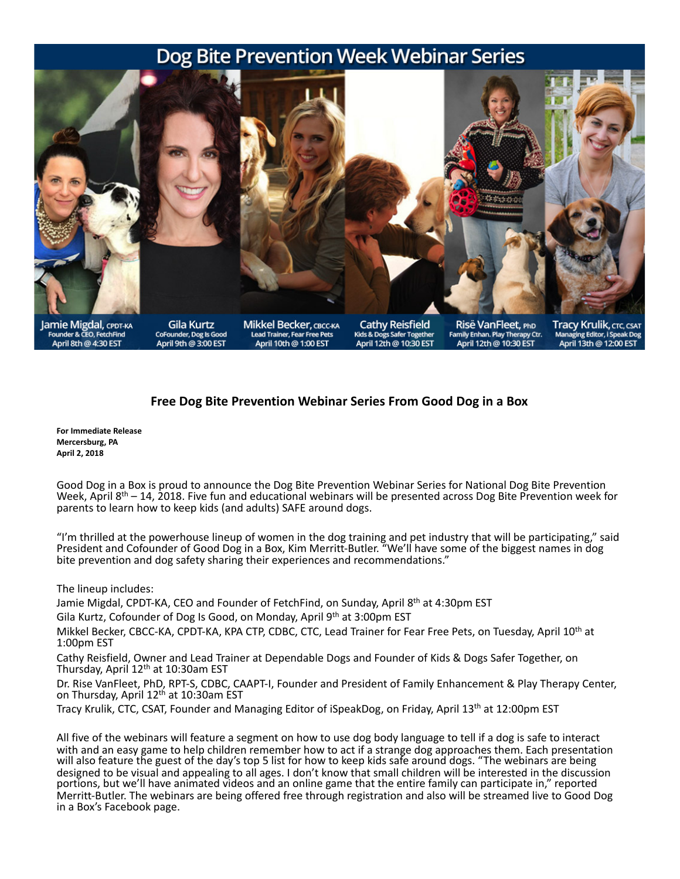## Dog Bite Prevention Week Webinar Series



Founder & CEO, FetchFind April 8th @ 4:30 EST

Gila Kurtz CoFounder, Dog Is Good<br>April 9th @ 3:00 EST **Mikkel Becker, CBCC-КА Lead Trainer, Fear Free Pets** April 10th @ 1:00 EST

**Cathy Reisfield** Kids & Dogs Safer Together<br>April 12th @ 10:30 EST

Risë VanFleet, PhD Family Enhan. Play Therapy Ctr.<br>April 12th @ 10:30 EST Tracy Krulik, CTC, CSAT Managing Editor, i Speak Dog<br>April 13th @ 12:00 EST

## Free Dog Bite Prevention Webinar Series From Good Dog in a Box

**For Immediate Release Mercersburg, PA April 2, 2018**

Good Dog in a Box is proud to announce the Dog Bite Prevention Webinar Series for National Dog Bite Prevention Week, April  $8<sup>th</sup>$  – 14, 2018. Five fun and educational webinars will be presented across Dog Bite Prevention week for parents to learn how to keep kids (and adults) SAFE around dogs.

"I'm thrilled at the powerhouse lineup of women in the dog training and pet industry that will be participating," said President and Cofounder of Good Dog in a Box, Kim Merritt-Butler. "We'll have some of the biggest names in dog bite prevention and dog safety sharing their experiences and recommendations."

The lineup includes:

Jamie Migdal, CPDT-KA, CEO and Founder of FetchFind, on Sunday, April 8th at 4:30pm EST

Gila Kurtz, Cofounder of Dog Is Good, on Monday, April 9<sup>th</sup> at 3:00pm EST

Mikkel Becker, CBCC-KA, CPDT-KA, KPA CTP, CDBC, CTC, Lead Trainer for Fear Free Pets, on Tuesday, April 10<sup>th</sup> at 1:00pm EST 

Cathy Reisfield, Owner and Lead Trainer at Dependable Dogs and Founder of Kids & Dogs Safer Together, on Thursday, April 12<sup>th</sup> at 10:30am EST

Dr. Rise VanFleet, PhD, RPT-S, CDBC, CAAPT-I, Founder and President of Family Enhancement & Play Therapy Center, on Thursday, April  $12<sup>th</sup>$  at 10:30am EST

Tracy Krulik, CTC, CSAT, Founder and Managing Editor of iSpeakDog, on Friday, April 13<sup>th</sup> at 12:00pm EST

All five of the webinars will feature a segment on how to use dog body language to tell if a dog is safe to interact with and an easy game to help children remember how to act if a strange dog approaches them. Each presentation will also feature the guest of the day's top 5 list for how to keep kids safe around dogs. "The webinars are being designed to be visual and appealing to all ages. I don't know that small children will be interested in the discussion portions, but we'll have animated videos and an online game that the entire family can participate in," reported Merritt-Butler. The webinars are being offered free through registration and also will be streamed live to Good Dog in a Box's Facebook page.